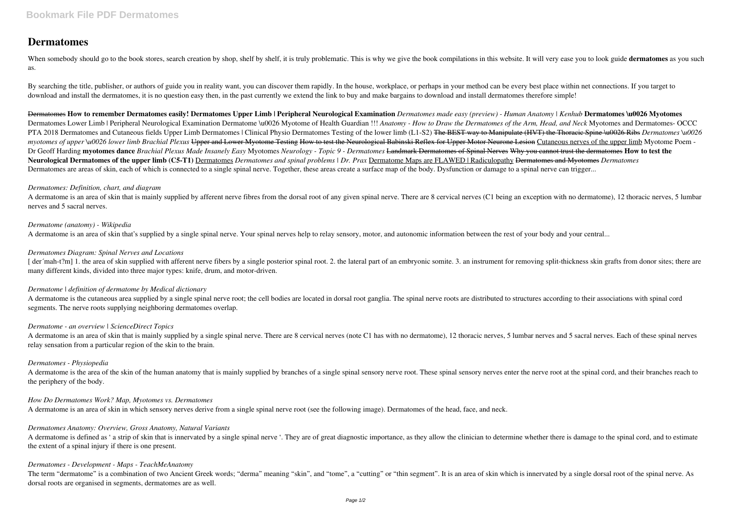# **Dermatomes**

When somebody should go to the book stores, search creation by shop, shelf by shelf, it is truly problematic. This is why we give the book compilations in this website. It will very ease you to look guide dermatomes as you as.

By searching the title, publisher, or authors of guide you in reality want, you can discover them rapidly. In the house, workplace, or perhaps in your method can be every best place within net connections. If you target to download and install the dermatomes, it is no question easy then, in the past currently we extend the link to buy and make bargains to download and install dermatomes therefore simple!

Dermatomes **How to remember Dermatomes easily! Dermatomes Upper Limb | Peripheral Neurological Examination** *Dermatomes made easy (preview) - Human Anatomy | Kenhub* **Dermatomes \u0026 Myotomes** Dermatomes Lower Limb | Peripheral Neurological Examination Dermatome \u0026 Myotome of Health Guardian !!! *Anatomy - How to Draw the Dermatomes of the Arm, Head, and Neck* Myotomes and Dermatomes- OCCC PTA 2018 Dermatomes and Cutaneous fields Upper Limb Dermatomes | Clinical Physio Dermatomes Testing of the lower limb (L1-S2) <del>The BEST way to Manipulate (HVT) the Thoracic Spine \u0026 Ribs</del> *Dermatomes* \u0026 *myotomes of upper \u0026 lower limb Brachial Plexus* Upper and Lower Myotome Testing How to test the Neurological Babinski Reflex for Upper Motor Neurone Lesion Cutaneous nerves of the upper limb Myotome Poem -Dr Geoff Harding myotomes dance Brachial Plexus Made Insanely Easy Myotomes Neurology - Topic 9 - Dermatomes Landmark Dermatomes of Spinal Nerves Why you cannot trust the dermatomes How to test the **Neurological Dermatomes of the upper limb (C5-T1)** Dermatomes *Dermatomes and spinal problems | Dr. Prax* Dermatome Maps are FLAWED | Radiculopathy Dermatomes and Myotomes *Dermatomes* Dermatomes are areas of skin, each of which is connected to a single spinal nerve. Together, these areas create a surface map of the body. Dysfunction or damage to a spinal nerve can trigger...

A dermatome is an area of skin that is mainly supplied by afferent nerve fibres from the dorsal root of any given spinal nerve. There are 8 cervical nerves (C1 being an exception with no dermatome), 12 thoracic nerves, 5 l nerves and 5 sacral nerves.

[der mah-t?m] 1. the area of skin supplied with afferent nerve fibers by a single posterior spinal root. 2. the lateral part of an embryonic somite. 3. an instrument for removing split-thickness skin grafts from donor site many different kinds, divided into three major types: knife, drum, and motor-driven.

A dermatome is the cutaneous area supplied by a single spinal nerve root; the cell bodies are located in dorsal root ganglia. The spinal nerve roots are distributed to structures according to their associations with spinal segments. The nerve roots supplying neighboring dermatomes overlap.

A dermatome is an area of skin that is mainly supplied by a single spinal nerve. There are 8 cervical nerves (note C1 has with no dermatome), 12 thoracic nerves, 5 lumbar nerves and 5 sacral nerves. Each of these spinal ne relay sensation from a particular region of the skin to the brain.

A dermatome is the area of the skin of the human anatomy that is mainly supplied by branches of a single spinal sensory nerve root. These spinal sensory nerves enter the nerve root at the spinal cord, and their branches re the periphery of the body.

### *Dermatomes: Definition, chart, and diagram*

A dermatome is defined as 'a strip of skin that is innervated by a single spinal nerve '. They are of great diagnostic importance, as they allow the clinician to determine whether there is damage to the spinal cord, and to the extent of a spinal injury if there is one present.

## *Dermatome (anatomy) - Wikipedia*

The term "dermatome" is a combination of two Ancient Greek words; "derma" meaning "skin", and "tome", a "cutting" or "thin segment". It is an area of skin which is innervated by a single dorsal root of the spinal nerve. As dorsal roots are organised in segments, dermatomes are as well.

A dermatome is an area of skin that's supplied by a single spinal nerve. Your spinal nerves help to relay sensory, motor, and autonomic information between the rest of your body and your central...

## *Dermatomes Diagram: Spinal Nerves and Locations*

## *Dermatome | definition of dermatome by Medical dictionary*

### *Dermatome - an overview | ScienceDirect Topics*

### *Dermatomes - Physiopedia*

## *How Do Dermatomes Work? Map, Myotomes vs. Dermatomes*

A dermatome is an area of skin in which sensory nerves derive from a single spinal nerve root (see the following image). Dermatomes of the head, face, and neck.

### *Dermatomes Anatomy: Overview, Gross Anatomy, Natural Variants*

### *Dermatomes - Development - Maps - TeachMeAnatomy*